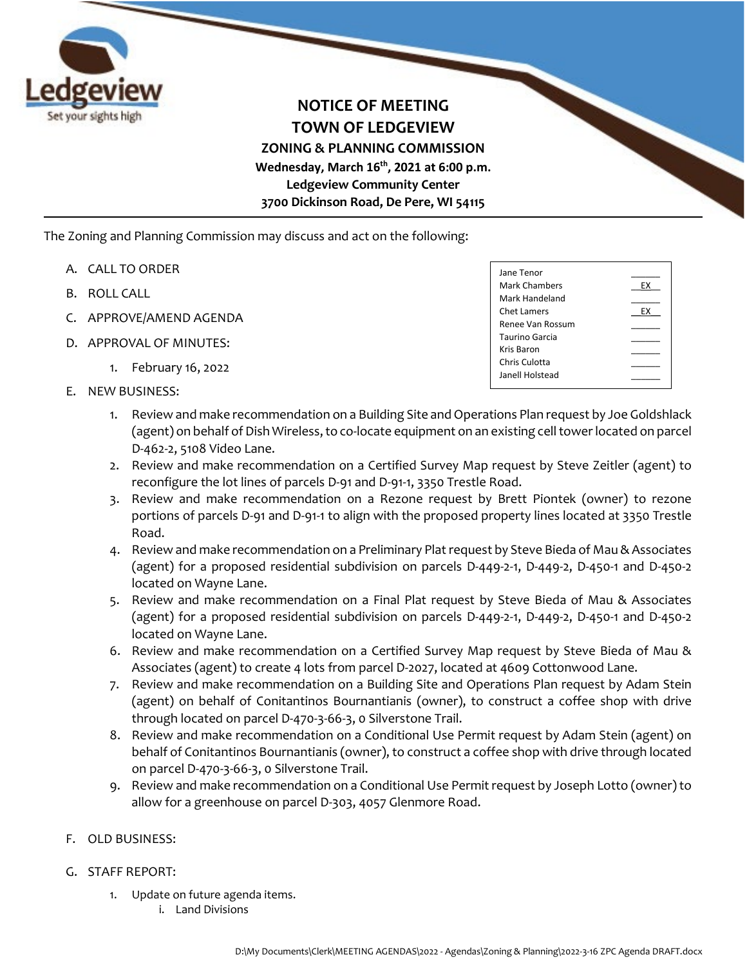

**NOTICE OF MEETING TOWN OF LEDGEVIEW ZONING & PLANNING COMMISSION Wednesday, March 16th, 2021 at 6:00 p.m. Ledgeview Community Center 3700 Dickinson Road, De Pere, WI 54115**

The Zoning and Planning Commission may discuss and act on the following:

- A. CALL TO ORDER
- B. ROLL CALL
- C. APPROVE/AMEND AGENDA
- D. APPROVAL OF MINUTES:
	- 1. February 16, 2022
- E. NEW BUSINESS:

| Jane Tenor              |    |
|-------------------------|----|
| Mark Chambers           | EХ |
| Mark Handeland          |    |
| Chet Lamers             | FX |
| <b>Renee Van Rossum</b> |    |
| Taurino Garcia          |    |
| Kris Baron              |    |
| Chris Culotta           |    |
| Janell Holstead         |    |
|                         |    |

- 1. Review and make recommendation on a Building Site and Operations Plan request by Joe Goldshlack (agent) on behalf of Dish Wireless, to co-locate equipment on an existing cell tower located on parcel D-462-2, 5108 Video Lane.
- 2. Review and make recommendation on a Certified Survey Map request by Steve Zeitler (agent) to reconfigure the lot lines of parcels D-91 and D-91-1, 3350 Trestle Road.
- 3. Review and make recommendation on a Rezone request by Brett Piontek (owner) to rezone portions of parcels D-91 and D-91-1 to align with the proposed property lines located at 3350 Trestle Road.
- 4. Review and make recommendation on a Preliminary Plat request by Steve Bieda of Mau & Associates (agent) for a proposed residential subdivision on parcels D-449-2-1, D-449-2, D-450-1 and D-450-2 located on Wayne Lane.
- 5. Review and make recommendation on a Final Plat request by Steve Bieda of Mau & Associates (agent) for a proposed residential subdivision on parcels D-449-2-1, D-449-2, D-450-1 and D-450-2 located on Wayne Lane.
- 6. Review and make recommendation on a Certified Survey Map request by Steve Bieda of Mau & Associates (agent) to create 4 lots from parcel D-2027, located at 4609 Cottonwood Lane.
- 7. Review and make recommendation on a Building Site and Operations Plan request by Adam Stein (agent) on behalf of Conitantinos Bournantianis (owner), to construct a coffee shop with drive through located on parcel D-470-3-66-3, 0 Silverstone Trail.
- 8. Review and make recommendation on a Conditional Use Permit request by Adam Stein (agent) on behalf of Conitantinos Bournantianis (owner), to construct a coffee shop with drive through located on parcel D-470-3-66-3, 0 Silverstone Trail.
- 9. Review and make recommendation on a Conditional Use Permit request by Joseph Lotto (owner) to allow for a greenhouse on parcel D-303, 4057 Glenmore Road.
- F. OLD BUSINESS:
- G. STAFF REPORT:
	- 1. Update on future agenda items.
		- i. Land Divisions